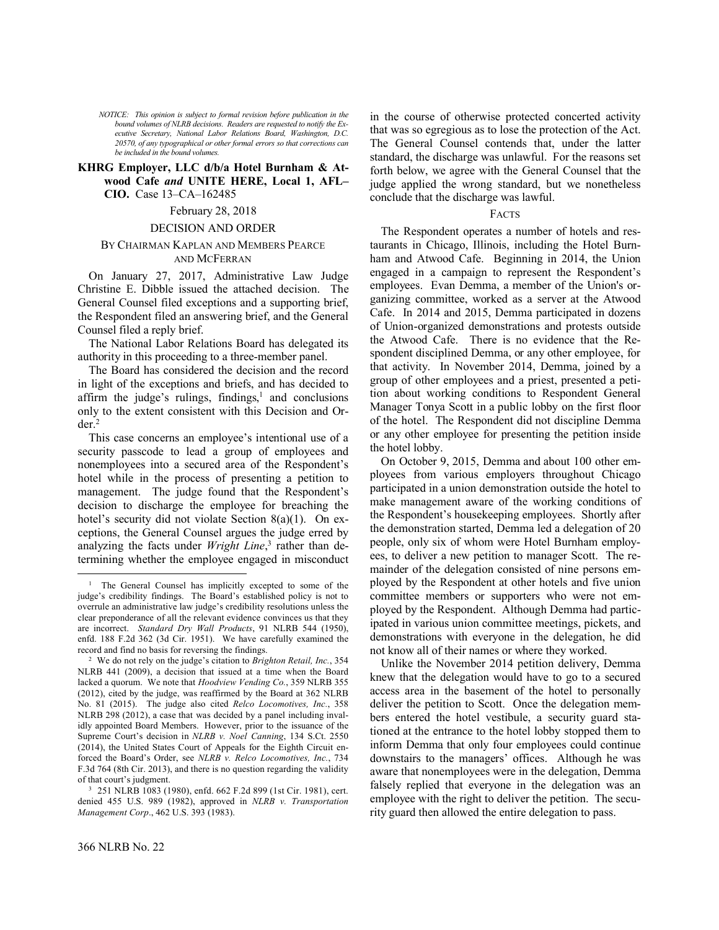*NOTICE: This opinion is subject to formal revision before publication in the bound volumes of NLRB decisions. Readers are requested to notify the Executive Secretary, National Labor Relations Board, Washington, D.C. 20570, of any typographical or other formal errors so that corrections can be included in the bound volumes.*

# **KHRG Employer, LLC d/b/a Hotel Burnham & Atwood Cafe** *and* **UNITE HERE, Local 1, AFL– CIO.** Case 13–CA–162485

# February 28, 2018

### DECISION AND ORDER

# BY CHAIRMAN KAPLAN AND MEMBERS PEARCE AND MCFERRAN

On January 27, 2017, Administrative Law Judge Christine E. Dibble issued the attached decision. The General Counsel filed exceptions and a supporting brief, the Respondent filed an answering brief, and the General Counsel filed a reply brief.

The National Labor Relations Board has delegated its authority in this proceeding to a three-member panel.

The Board has considered the decision and the record in light of the exceptions and briefs, and has decided to affirm the judge's rulings, findings, 1 and conclusions only to the extent consistent with this Decision and Or $der<sup>2</sup>$ 

This case concerns an employee's intentional use of a security passcode to lead a group of employees and nonemployees into a secured area of the Respondent's hotel while in the process of presenting a petition to management. The judge found that the Respondent's decision to discharge the employee for breaching the hotel's security did not violate Section 8(a)(1). On exceptions, the General Counsel argues the judge erred by analyzing the facts under *Wright Line*, 3 rather than determining whether the employee engaged in misconduct in the course of otherwise protected concerted activity that was so egregious as to lose the protection of the Act. The General Counsel contends that, under the latter standard, the discharge was unlawful. For the reasons set forth below, we agree with the General Counsel that the judge applied the wrong standard, but we nonetheless conclude that the discharge was lawful.

### FACTS

The Respondent operates a number of hotels and restaurants in Chicago, Illinois, including the Hotel Burnham and Atwood Cafe. Beginning in 2014, the Union engaged in a campaign to represent the Respondent's employees. Evan Demma, a member of the Union's organizing committee, worked as a server at the Atwood Cafe. In 2014 and 2015, Demma participated in dozens of Union-organized demonstrations and protests outside the Atwood Cafe. There is no evidence that the Respondent disciplined Demma, or any other employee, for that activity. In November 2014, Demma, joined by a group of other employees and a priest, presented a petition about working conditions to Respondent General Manager Tonya Scott in a public lobby on the first floor of the hotel. The Respondent did not discipline Demma or any other employee for presenting the petition inside the hotel lobby.

On October 9, 2015, Demma and about 100 other employees from various employers throughout Chicago participated in a union demonstration outside the hotel to make management aware of the working conditions of the Respondent's housekeeping employees. Shortly after the demonstration started, Demma led a delegation of 20 people, only six of whom were Hotel Burnham employees, to deliver a new petition to manager Scott. The remainder of the delegation consisted of nine persons employed by the Respondent at other hotels and five union committee members or supporters who were not employed by the Respondent. Although Demma had participated in various union committee meetings, pickets, and demonstrations with everyone in the delegation, he did not know all of their names or where they worked.

Unlike the November 2014 petition delivery, Demma knew that the delegation would have to go to a secured access area in the basement of the hotel to personally deliver the petition to Scott. Once the delegation members entered the hotel vestibule, a security guard stationed at the entrance to the hotel lobby stopped them to inform Demma that only four employees could continue downstairs to the managers' offices. Although he was aware that nonemployees were in the delegation, Demma falsely replied that everyone in the delegation was an employee with the right to deliver the petition. The security guard then allowed the entire delegation to pass.

-

<sup>&</sup>lt;sup>1</sup> The General Counsel has implicitly excepted to some of the judge's credibility findings. The Board's established policy is not to overrule an administrative law judge's credibility resolutions unless the clear preponderance of all the relevant evidence convinces us that they are incorrect. *Standard Dry Wall Products*, 91 NLRB 544 (1950), enfd. 188 F.2d 362 (3d Cir. 1951). We have carefully examined the record and find no basis for reversing the findings.

<sup>2</sup> We do not rely on the judge's citation to *Brighton Retail, Inc.*, 354 NLRB 441 (2009), a decision that issued at a time when the Board lacked a quorum. We note that *Hoodview Vending Co.*, 359 NLRB 355 (2012), cited by the judge, was reaffirmed by the Board at 362 NLRB No. 81 (2015). The judge also cited *Relco Locomotives, Inc.*, 358 NLRB 298 (2012), a case that was decided by a panel including invalidly appointed Board Members. However, prior to the issuance of the Supreme Court's decision in *NLRB v. Noel Canning*, 134 S.Ct. 2550 (2014), the United States Court of Appeals for the Eighth Circuit enforced the Board's Order, see *NLRB v. Relco Locomotives, Inc.*, 734 F.3d 764 (8th Cir. 2013), and there is no question regarding the validity of that court's judgment.

<sup>3</sup> 251 NLRB 1083 (1980), enfd. 662 F.2d 899 (1st Cir. 1981), cert. denied 455 U.S. 989 (1982), approved in *NLRB v. Transportation Management Corp*., 462 U.S. 393 (1983).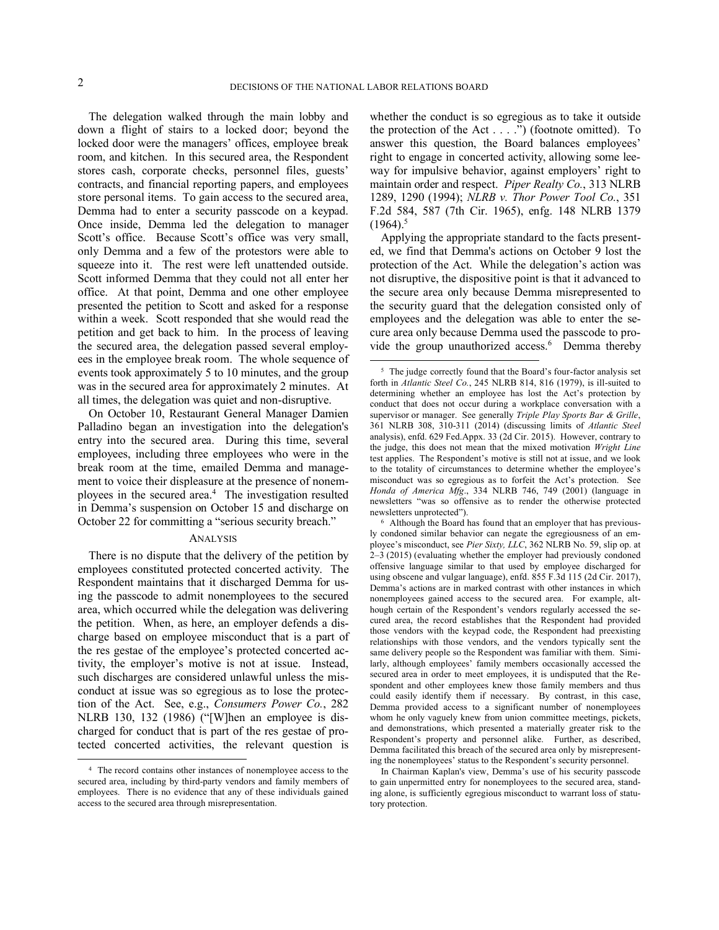-

l

The delegation walked through the main lobby and down a flight of stairs to a locked door; beyond the locked door were the managers' offices, employee break room, and kitchen. In this secured area, the Respondent stores cash, corporate checks, personnel files, guests' contracts, and financial reporting papers, and employees store personal items. To gain access to the secured area, Demma had to enter a security passcode on a keypad. Once inside, Demma led the delegation to manager Scott's office. Because Scott's office was very small, only Demma and a few of the protestors were able to squeeze into it. The rest were left unattended outside. Scott informed Demma that they could not all enter her office. At that point, Demma and one other employee presented the petition to Scott and asked for a response within a week. Scott responded that she would read the petition and get back to him. In the process of leaving the secured area, the delegation passed several employees in the employee break room. The whole sequence of events took approximately 5 to 10 minutes, and the group was in the secured area for approximately 2 minutes. At all times, the delegation was quiet and non-disruptive.

On October 10, Restaurant General Manager Damien Palladino began an investigation into the delegation's entry into the secured area. During this time, several employees, including three employees who were in the break room at the time, emailed Demma and management to voice their displeasure at the presence of nonemployees in the secured area.<sup>4</sup> The investigation resulted in Demma's suspension on October 15 and discharge on October 22 for committing a "serious security breach."

### ANALYSIS

whether the conduct is so egregious as to take it outside the protection of the Act . . . .") (footnote omitted). To answer this question, the Board balances employees' right to engage in concerted activity, allowing some leeway for impulsive behavior, against employers' right to maintain order and respect. *Piper Realty Co.*, 313 NLRB 1289, 1290 (1994); *NLRB v. Thor Power Tool Co.*, 351 F.2d 584, 587 (7th Cir. 1965), enfg. 148 NLRB 1379  $(1964)^5$ 

Applying the appropriate standard to the facts presented, we find that Demma's actions on October 9 lost the protection of the Act. While the delegation's action was not disruptive, the dispositive point is that it advanced to the secure area only because Demma misrepresented to the security guard that the delegation consisted only of employees and the delegation was able to enter the secure area only because Demma used the passcode to provide the group unauthorized access.<sup>6</sup> Demma thereby

There is no dispute that the delivery of the petition by employees constituted protected concerted activity. The Respondent maintains that it discharged Demma for using the passcode to admit nonemployees to the secured area, which occurred while the delegation was delivering the petition. When, as here, an employer defends a discharge based on employee misconduct that is a part of the res gestae of the employee's protected concerted activity, the employer's motive is not at issue. Instead, such discharges are considered unlawful unless the misconduct at issue was so egregious as to lose the protection of the Act. See, e.g., *Consumers Power Co.*, 282 NLRB 130, 132 (1986) ("[W]hen an employee is discharged for conduct that is part of the res gestae of protected concerted activities, the relevant question is

<sup>4</sup> The record contains other instances of nonemployee access to the secured area, including by third-party vendors and family members of employees. There is no evidence that any of these individuals gained access to the secured area through misrepresentation.

<sup>&</sup>lt;sup>5</sup> The judge correctly found that the Board's four-factor analysis set forth in *Atlantic Steel Co.*, 245 NLRB 814, 816 (1979), is ill-suited to determining whether an employee has lost the Act's protection by conduct that does not occur during a workplace conversation with a supervisor or manager. See generally *Triple Play Sports Bar & Grille*, 361 NLRB 308, 310-311 (2014) (discussing limits of *Atlantic Steel* analysis), enfd. 629 Fed.Appx. 33 (2d Cir. 2015). However, contrary to the judge, this does not mean that the mixed motivation *Wright Line* test applies. The Respondent's motive is still not at issue, and we look to the totality of circumstances to determine whether the employee's misconduct was so egregious as to forfeit the Act's protection. See *Honda of America Mfg*., 334 NLRB 746, 749 (2001) (language in newsletters "was so offensive as to render the otherwise protected newsletters unprotected").

<sup>6</sup> Although the Board has found that an employer that has previously condoned similar behavior can negate the egregiousness of an employee's misconduct, see *Pier Sixty, LLC*, 362 NLRB No. 59, slip op. at 2–3 (2015) (evaluating whether the employer had previously condoned offensive language similar to that used by employee discharged for using obscene and vulgar language), enfd. 855 F.3d 115 (2d Cir. 2017), Demma's actions are in marked contrast with other instances in which nonemployees gained access to the secured area. For example, although certain of the Respondent's vendors regularly accessed the secured area, the record establishes that the Respondent had provided those vendors with the keypad code, the Respondent had preexisting relationships with those vendors, and the vendors typically sent the same delivery people so the Respondent was familiar with them. Similarly, although employees' family members occasionally accessed the secured area in order to meet employees, it is undisputed that the Respondent and other employees knew those family members and thus could easily identify them if necessary. By contrast, in this case, Demma provided access to a significant number of nonemployees whom he only vaguely knew from union committee meetings, pickets, and demonstrations, which presented a materially greater risk to the Respondent's property and personnel alike. Further, as described, Demma facilitated this breach of the secured area only by misrepresenting the nonemployees' status to the Respondent's security personnel.

In Chairman Kaplan's view, Demma's use of his security passcode to gain unpermitted entry for nonemployees to the secured area, standing alone, is sufficiently egregious misconduct to warrant loss of statutory protection.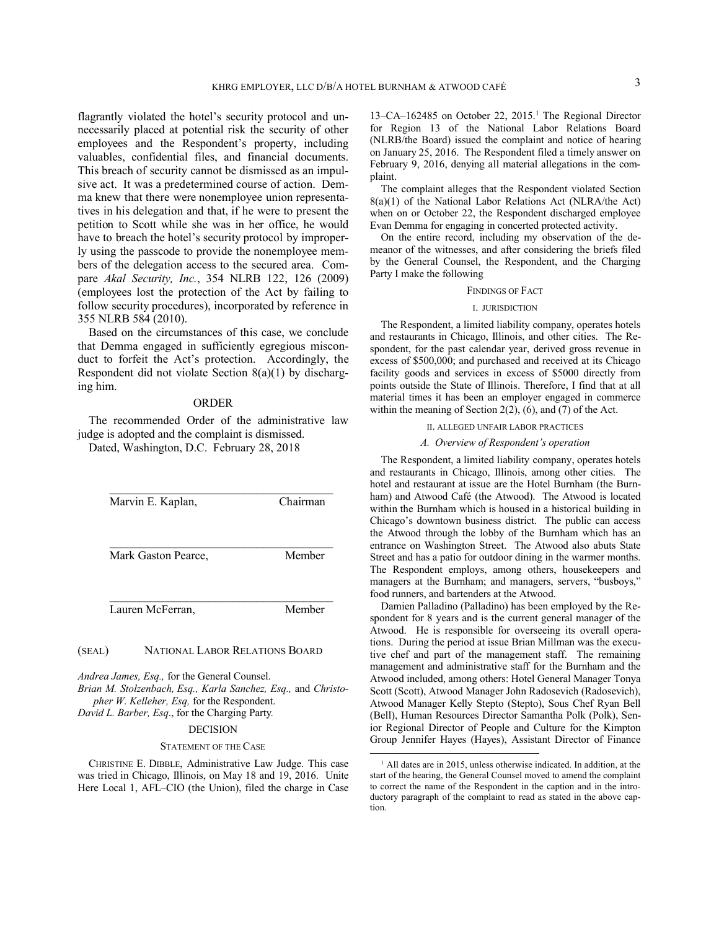flagrantly violated the hotel's security protocol and unnecessarily placed at potential risk the security of other employees and the Respondent's property, including valuables, confidential files, and financial documents. This breach of security cannot be dismissed as an impulsive act. It was a predetermined course of action. Demma knew that there were nonemployee union representatives in his delegation and that, if he were to present the petition to Scott while she was in her office, he would have to breach the hotel's security protocol by improperly using the passcode to provide the nonemployee members of the delegation access to the secured area. Compare *Akal Security, Inc.*, 354 NLRB 122, 126 (2009) (employees lost the protection of the Act by failing to follow security procedures), incorporated by reference in 355 NLRB 584 (2010).

Based on the circumstances of this case, we conclude that Demma engaged in sufficiently egregious misconduct to forfeit the Act's protection. Accordingly, the Respondent did not violate Section 8(a)(1) by discharging him.

### ORDER

The recommended Order of the administrative law judge is adopted and the complaint is dismissed.

Dated, Washington, D.C. February 28, 2018

| Marvin E. Kaplan,   | Chairman |
|---------------------|----------|
| Mark Gaston Pearce, | Member   |
| Lauren McFerran,    | Member   |

(SEAL) NATIONAL LABOR RELATIONS BOARD

*Andrea James, Esq.,* for the General Counsel. *Brian M. Stolzenbach, Esq., Karla Sanchez, Esq.,* and *Christopher W. Kelleher, Esq,* for the Respondent.

*David L. Barber, Esq*., for the Charging Party*.*

# DECISION

#### STATEMENT OF THE CASE

CHRISTINE E. DIBBLE, Administrative Law Judge. This case was tried in Chicago, Illinois, on May 18 and 19, 2016. Unite Here Local 1, AFL–CIO (the Union), filed the charge in Case

13–CA–162485 on October 22, 2015.<sup>1</sup> The Regional Director for Region 13 of the National Labor Relations Board (NLRB/the Board) issued the complaint and notice of hearing on January 25, 2016. The Respondent filed a timely answer on February 9, 2016, denying all material allegations in the complaint.

The complaint alleges that the Respondent violated Section 8(a)(1) of the National Labor Relations Act (NLRA/the Act) when on or October 22, the Respondent discharged employee Evan Demma for engaging in concerted protected activity.

On the entire record, including my observation of the demeanor of the witnesses, and after considering the briefs filed by the General Counsel, the Respondent, and the Charging Party I make the following

#### FINDINGS OF FACT

#### I. JURISDICTION

The Respondent, a limited liability company, operates hotels and restaurants in Chicago, Illinois, and other cities. The Respondent, for the past calendar year, derived gross revenue in excess of \$500,000; and purchased and received at its Chicago facility goods and services in excess of \$5000 directly from points outside the State of Illinois. Therefore, I find that at all material times it has been an employer engaged in commerce within the meaning of Section 2(2), (6), and (7) of the Act.

### II. ALLEGED UNFAIR LABOR PRACTICES

### *A. Overview of Respondent's operation*

The Respondent, a limited liability company, operates hotels and restaurants in Chicago, Illinois, among other cities. The hotel and restaurant at issue are the Hotel Burnham (the Burnham) and Atwood Café (the Atwood). The Atwood is located within the Burnham which is housed in a historical building in Chicago's downtown business district. The public can access the Atwood through the lobby of the Burnham which has an entrance on Washington Street. The Atwood also abuts State Street and has a patio for outdoor dining in the warmer months. The Respondent employs, among others, housekeepers and managers at the Burnham; and managers, servers, "busboys," food runners, and bartenders at the Atwood.

Damien Palladino (Palladino) has been employed by the Respondent for 8 years and is the current general manager of the Atwood. He is responsible for overseeing its overall operations. During the period at issue Brian Millman was the executive chef and part of the management staff. The remaining management and administrative staff for the Burnham and the Atwood included, among others: Hotel General Manager Tonya Scott (Scott), Atwood Manager John Radosevich (Radosevich), Atwood Manager Kelly Stepto (Stepto), Sous Chef Ryan Bell (Bell), Human Resources Director Samantha Polk (Polk), Senior Regional Director of People and Culture for the Kimpton Group Jennifer Hayes (Hayes), Assistant Director of Finance

l

<sup>1</sup> All dates are in 2015, unless otherwise indicated. In addition, at the start of the hearing, the General Counsel moved to amend the complaint to correct the name of the Respondent in the caption and in the introductory paragraph of the complaint to read as stated in the above caption.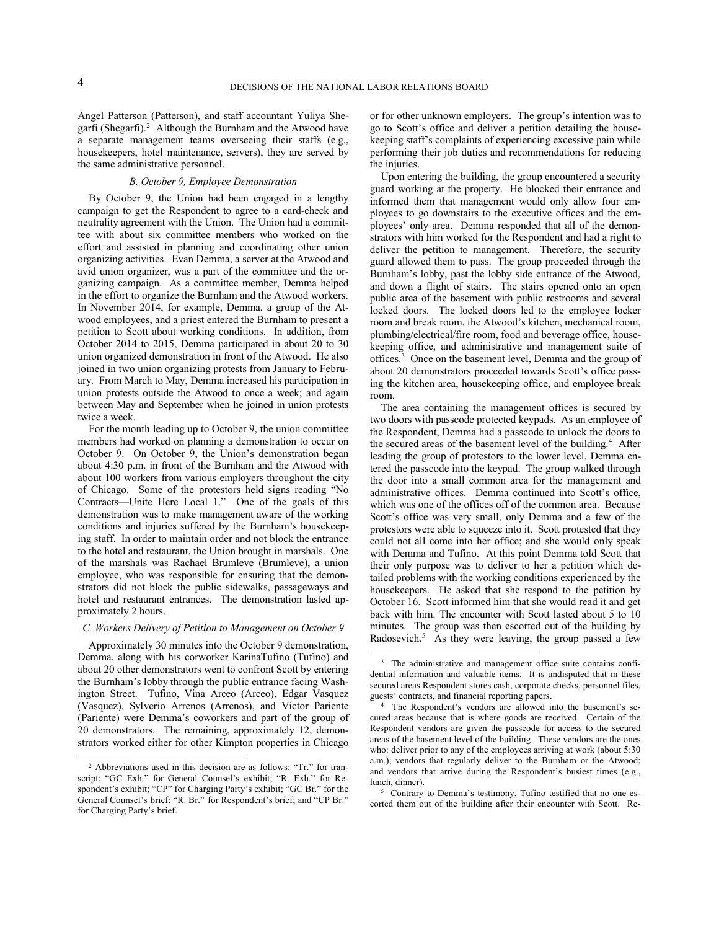-

l

Angel Patterson (Patterson), and staff accountant Yuliya Shegarfi (Shegarfi).<sup>2</sup> Although the Burnham and the Atwood have a separate management teams overseeing their staffs (e.g., housekeepers, hotel maintenance, servers), they are served by the same administrative personnel.

# *B. October 9, Employee Demonstration*

By October 9, the Union had been engaged in a lengthy campaign to get the Respondent to agree to a card-check and neutrality agreement with the Union. The Union had a committee with about six committee members who worked on the effort and assisted in planning and coordinating other union organizing activities. Evan Demma, a server at the Atwood and avid union organizer, was a part of the committee and the organizing campaign. As a committee member, Demma helped in the effort to organize the Burnham and the Atwood workers. In November 2014, for example, Demma, a group of the Atwood employees, and a priest entered the Burnham to present a petition to Scott about working conditions. In addition, from October 2014 to 2015, Demma participated in about 20 to 30 union organized demonstration in front of the Atwood. He also joined in two union organizing protests from January to February. From March to May, Demma increased his participation in union protests outside the Atwood to once a week; and again between May and September when he joined in union protests twice a week.

For the month leading up to October 9, the union committee members had worked on planning a demonstration to occur on October 9. On October 9, the Union's demonstration began about 4:30 p.m. in front of the Burnham and the Atwood with about 100 workers from various employers throughout the city of Chicago. Some of the protestors held signs reading "No Contracts—Unite Here Local 1." One of the goals of this demonstration was to make management aware of the working conditions and injuries suffered by the Burnham's housekeeping staff. In order to maintain order and not block the entrance to the hotel and restaurant, the Union brought in marshals. One of the marshals was Rachael Brumleve (Brumleve), a union employee, who was responsible for ensuring that the demonstrators did not block the public sidewalks, passageways and hotel and restaurant entrances. The demonstration lasted approximately 2 hours.

### *C. Workers Delivery of Petition to Management on October 9*

Approximately 30 minutes into the October 9 demonstration, Demma, along with his corworker KarinaTufino (Tufino) and about 20 other demonstrators went to confront Scott by entering the Burnham's lobby through the public entrance facing Washington Street. Tufino, Vina Arceo (Arceo), Edgar Vasquez (Vasquez), Sylverio Arrenos (Arrenos), and Victor Pariente (Pariente) were Demma's coworkers and part of the group of 20 demonstrators. The remaining, approximately 12, demonstrators worked either for other Kimpton properties in Chicago

or for other unknown employers. The group's intention was to go to Scott's office and deliver a petition detailing the housekeeping staff's complaints of experiencing excessive pain while performing their job duties and recommendations for reducing the injuries.

Upon entering the building, the group encountered a security guard working at the property. He blocked their entrance and informed them that management would only allow four employees to go downstairs to the executive offices and the employees' only area. Demma responded that all of the demonstrators with him worked for the Respondent and had a right to deliver the petition to management. Therefore, the security guard allowed them to pass. The group proceeded through the Burnham's lobby, past the lobby side entrance of the Atwood, and down a flight of stairs. The stairs opened onto an open public area of the basement with public restrooms and several locked doors. The locked doors led to the employee locker room and break room, the Atwood's kitchen, mechanical room, plumbing/electrical/fire room, food and beverage office, housekeeping office, and administrative and management suite of offices.<sup>3</sup> Once on the basement level, Demma and the group of about 20 demonstrators proceeded towards Scott's office passing the kitchen area, housekeeping office, and employee break room.

The area containing the management offices is secured by two doors with passcode protected keypads. As an employee of the Respondent, Demma had a passcode to unlock the doors to the secured areas of the basement level of the building.<sup>4</sup> After leading the group of protestors to the lower level, Demma entered the passcode into the keypad. The group walked through the door into a small common area for the management and administrative offices. Demma continued into Scott's office, which was one of the offices off of the common area. Because Scott's office was very small, only Demma and a few of the protestors were able to squeeze into it. Scott protested that they could not all come into her office; and she would only speak with Demma and Tufino. At this point Demma told Scott that their only purpose was to deliver to her a petition which detailed problems with the working conditions experienced by the housekeepers. He asked that she respond to the petition by October 16. Scott informed him that she would read it and get back with him. The encounter with Scott lasted about 5 to 10 minutes. The group was then escorted out of the building by Radosevich.<sup>5</sup> As they were leaving, the group passed a few

<sup>5</sup> Contrary to Demma's testimony, Tufino testified that no one escorted them out of the building after their encounter with Scott. Re-

<sup>2</sup> Abbreviations used in this decision are as follows: "Tr." for transcript; "GC Exh." for General Counsel's exhibit; "R. Exh." for Respondent's exhibit; "CP" for Charging Party's exhibit; "GC Br." for the General Counsel's brief; "R. Br." for Respondent's brief; and "CP Br." for Charging Party's brief.

<sup>&</sup>lt;sup>3</sup> The administrative and management office suite contains confidential information and valuable items. It is undisputed that in these secured areas Respondent stores cash, corporate checks, personnel files, guests' contracts, and financial reporting papers.

<sup>4</sup> The Respondent's vendors are allowed into the basement's secured areas because that is where goods are received. Certain of the Respondent vendors are given the passcode for access to the secured areas of the basement level of the building. These vendors are the ones who: deliver prior to any of the employees arriving at work (about 5:30) a.m.); vendors that regularly deliver to the Burnham or the Atwood; and vendors that arrive during the Respondent's busiest times (e.g., lunch, dinner).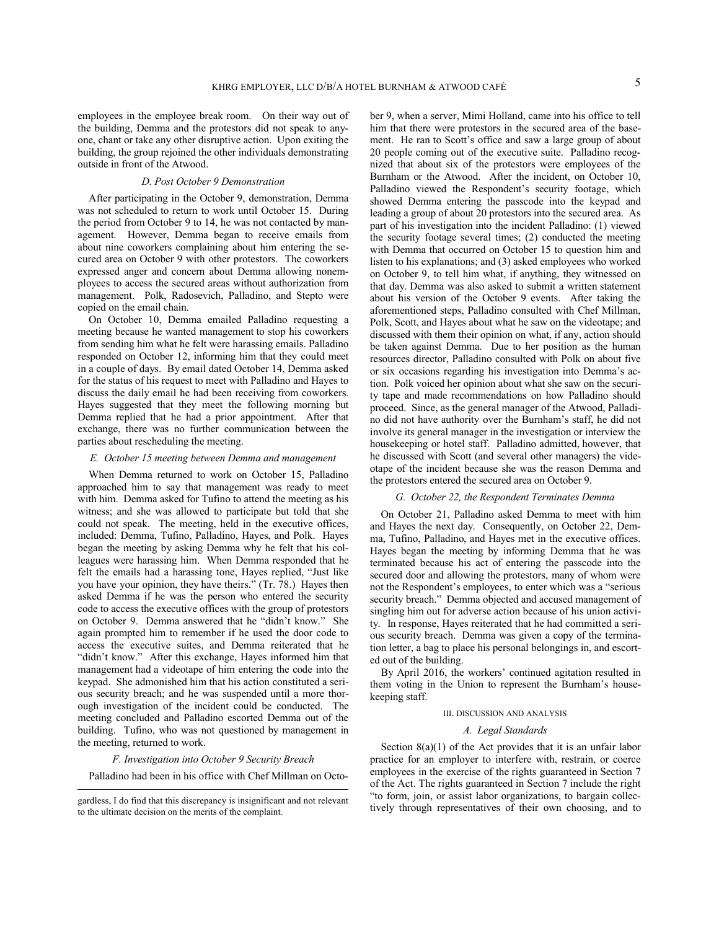employees in the employee break room. On their way out of the building, Demma and the protestors did not speak to anyone, chant or take any other disruptive action. Upon exiting the building, the group rejoined the other individuals demonstrating outside in front of the Atwood.

# *D. Post October 9 Demonstration*

After participating in the October 9, demonstration, Demma was not scheduled to return to work until October 15. During the period from October 9 to 14, he was not contacted by management. However, Demma began to receive emails from about nine coworkers complaining about him entering the secured area on October 9 with other protestors. The coworkers expressed anger and concern about Demma allowing nonemployees to access the secured areas without authorization from management. Polk, Radosevich, Palladino, and Stepto were copied on the email chain.

On October 10, Demma emailed Palladino requesting a meeting because he wanted management to stop his coworkers from sending him what he felt were harassing emails. Palladino responded on October 12, informing him that they could meet in a couple of days. By email dated October 14, Demma asked for the status of his request to meet with Palladino and Hayes to discuss the daily email he had been receiving from coworkers. Hayes suggested that they meet the following morning but Demma replied that he had a prior appointment. After that exchange, there was no further communication between the parties about rescheduling the meeting.

### *E. October 15 meeting between Demma and management*

When Demma returned to work on October 15, Palladino approached him to say that management was ready to meet with him. Demma asked for Tufino to attend the meeting as his witness; and she was allowed to participate but told that she could not speak. The meeting, held in the executive offices, included: Demma, Tufino, Palladino, Hayes, and Polk. Hayes began the meeting by asking Demma why he felt that his colleagues were harassing him. When Demma responded that he felt the emails had a harassing tone, Hayes replied, "Just like you have your opinion, they have theirs." (Tr. 78.) Hayes then asked Demma if he was the person who entered the security code to access the executive offices with the group of protestors on October 9. Demma answered that he "didn't know." She again prompted him to remember if he used the door code to access the executive suites, and Demma reiterated that he "didn't know." After this exchange, Hayes informed him that management had a videotape of him entering the code into the keypad. She admonished him that his action constituted a serious security breach; and he was suspended until a more thorough investigation of the incident could be conducted. The meeting concluded and Palladino escorted Demma out of the building. Tufino, who was not questioned by management in the meeting, returned to work.

*F. Investigation into October 9 Security Breach*

Palladino had been in his office with Chef Millman on Octo-

l

ber 9, when a server, Mimi Holland, came into his office to tell him that there were protestors in the secured area of the basement. He ran to Scott's office and saw a large group of about 20 people coming out of the executive suite. Palladino recognized that about six of the protestors were employees of the Burnham or the Atwood. After the incident, on October 10, Palladino viewed the Respondent's security footage, which showed Demma entering the passcode into the keypad and leading a group of about 20 protestors into the secured area. As part of his investigation into the incident Palladino: (1) viewed the security footage several times; (2) conducted the meeting with Demma that occurred on October 15 to question him and listen to his explanations; and (3) asked employees who worked on October 9, to tell him what, if anything, they witnessed on that day. Demma was also asked to submit a written statement about his version of the October 9 events. After taking the aforementioned steps, Palladino consulted with Chef Millman, Polk, Scott, and Hayes about what he saw on the videotape; and discussed with them their opinion on what, if any, action should be taken against Demma. Due to her position as the human resources director, Palladino consulted with Polk on about five or six occasions regarding his investigation into Demma's action. Polk voiced her opinion about what she saw on the security tape and made recommendations on how Palladino should proceed. Since, as the general manager of the Atwood, Palladino did not have authority over the Burnham's staff, he did not involve its general manager in the investigation or interview the housekeeping or hotel staff. Palladino admitted, however, that he discussed with Scott (and several other managers) the videotape of the incident because she was the reason Demma and the protestors entered the secured area on October 9.

#### *G. October 22, the Respondent Terminates Demma*

On October 21, Palladino asked Demma to meet with him and Hayes the next day. Consequently, on October 22, Demma, Tufino, Palladino, and Hayes met in the executive offices. Hayes began the meeting by informing Demma that he was terminated because his act of entering the passcode into the secured door and allowing the protestors, many of whom were not the Respondent's employees, to enter which was a "serious security breach." Demma objected and accused management of singling him out for adverse action because of his union activity. In response, Hayes reiterated that he had committed a serious security breach. Demma was given a copy of the termination letter, a bag to place his personal belongings in, and escorted out of the building.

By April 2016, the workers' continued agitation resulted in them voting in the Union to represent the Burnham's housekeeping staff.

#### III. DISCUSSION AND ANALYSIS

#### *A. Legal Standards*

Section 8(a)(1) of the Act provides that it is an unfair labor practice for an employer to interfere with, restrain, or coerce employees in the exercise of the rights guaranteed in Section 7 of the Act. The rights guaranteed in Section 7 include the right "to form, join, or assist labor organizations, to bargain collectively through representatives of their own choosing, and to

gardless, I do find that this discrepancy is insignificant and not relevant to the ultimate decision on the merits of the complaint.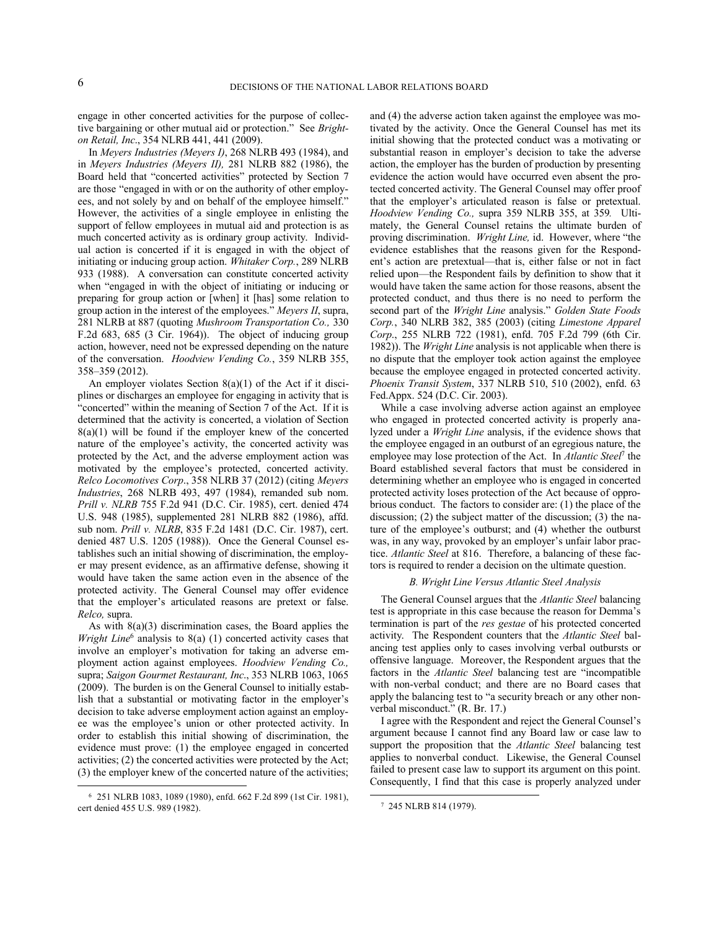engage in other concerted activities for the purpose of collective bargaining or other mutual aid or protection." See *Brighton Retail, Inc*., 354 NLRB 441, 441 (2009).

In *Meyers Industries (Meyers I)*, 268 NLRB 493 (1984), and in *Meyers Industries (Meyers II),* 281 NLRB 882 (1986), the Board held that "concerted activities" protected by Section 7 are those "engaged in with or on the authority of other employees, and not solely by and on behalf of the employee himself." However, the activities of a single employee in enlisting the support of fellow employees in mutual aid and protection is as much concerted activity as is ordinary group activity. Individual action is concerted if it is engaged in with the object of initiating or inducing group action. *Whitaker Corp.*, 289 NLRB 933 (1988). A conversation can constitute concerted activity when "engaged in with the object of initiating or inducing or preparing for group action or [when] it [has] some relation to group action in the interest of the employees." *Meyers II*, supra, 281 NLRB at 887 (quoting *Mushroom Transportation Co.,* 330 F.2d 683, 685 (3 Cir. 1964)). The object of inducing group action, however, need not be expressed depending on the nature of the conversation. *Hoodview Vending Co.*, 359 NLRB 355, 358–359 (2012).

An employer violates Section 8(a)(1) of the Act if it disciplines or discharges an employee for engaging in activity that is "concerted" within the meaning of Section 7 of the Act. If it is determined that the activity is concerted, a violation of Section  $8(a)(1)$  will be found if the employer knew of the concerted nature of the employee's activity, the concerted activity was protected by the Act, and the adverse employment action was motivated by the employee's protected, concerted activity. *Relco Locomotives Corp*., 358 NLRB 37 (2012) (citing *Meyers Industries*, 268 NLRB 493, 497 (1984), remanded sub nom. *Prill v. NLRB* 755 F.2d 941 (D.C. Cir. 1985), cert. denied 474 U.S. 948 (1985), supplemented 281 NLRB 882 (1986), affd. sub nom. *Prill v. NLRB*, 835 F.2d 1481 (D.C. Cir. 1987), cert. denied 487 U.S. 1205 (1988)). Once the General Counsel establishes such an initial showing of discrimination, the employer may present evidence, as an affirmative defense, showing it would have taken the same action even in the absence of the protected activity. The General Counsel may offer evidence that the employer's articulated reasons are pretext or false. *Relco,* supra.

As with 8(a)(3) discrimination cases, the Board applies the *Wright Line*<sup>6</sup> analysis to 8(a) (1) concerted activity cases that involve an employer's motivation for taking an adverse employment action against employees. *Hoodview Vending Co.,* supra; *Saigon Gourmet Restaurant, Inc*., 353 NLRB 1063, 1065 (2009). The burden is on the General Counsel to initially establish that a substantial or motivating factor in the employer's decision to take adverse employment action against an employee was the employee's union or other protected activity. In order to establish this initial showing of discrimination, the evidence must prove: (1) the employee engaged in concerted activities; (2) the concerted activities were protected by the Act; (3) the employer knew of the concerted nature of the activities;

-

and (4) the adverse action taken against the employee was motivated by the activity. Once the General Counsel has met its initial showing that the protected conduct was a motivating or substantial reason in employer's decision to take the adverse action, the employer has the burden of production by presenting evidence the action would have occurred even absent the protected concerted activity. The General Counsel may offer proof that the employer's articulated reason is false or pretextual. *Hoodview Vending Co.,* supra 359 NLRB 355, at 359*.* Ultimately, the General Counsel retains the ultimate burden of proving discrimination. *Wright Line,* id. However, where "the evidence establishes that the reasons given for the Respondent's action are pretextual—that is, either false or not in fact relied upon—the Respondent fails by definition to show that it would have taken the same action for those reasons, absent the protected conduct, and thus there is no need to perform the second part of the *Wright Line* analysis." *Golden State Foods Corp.*, 340 NLRB 382, 385 (2003) (citing *Limestone Apparel Corp*., 255 NLRB 722 (1981), enfd. 705 F.2d 799 (6th Cir. 1982)). The *Wright Line* analysis is not applicable when there is no dispute that the employer took action against the employee because the employee engaged in protected concerted activity. *Phoenix Transit System*, 337 NLRB 510, 510 (2002), enfd. 63 Fed.Appx. 524 (D.C. Cir. 2003).

While a case involving adverse action against an employee who engaged in protected concerted activity is properly analyzed under a *Wright Line* analysis, if the evidence shows that the employee engaged in an outburst of an egregious nature, the employee may lose protection of the Act. In *Atlantic Steel*<sup>7</sup> the Board established several factors that must be considered in determining whether an employee who is engaged in concerted protected activity loses protection of the Act because of opprobrious conduct. The factors to consider are: (1) the place of the discussion; (2) the subject matter of the discussion; (3) the nature of the employee's outburst; and (4) whether the outburst was, in any way, provoked by an employer's unfair labor practice. *Atlantic Steel* at 816. Therefore, a balancing of these factors is required to render a decision on the ultimate question.

#### *B. Wright Line Versus Atlantic Steel Analysis*

The General Counsel argues that the *Atlantic Steel* balancing test is appropriate in this case because the reason for Demma's termination is part of the *res gestae* of his protected concerted activity. The Respondent counters that the *Atlantic Steel* balancing test applies only to cases involving verbal outbursts or offensive language. Moreover, the Respondent argues that the factors in the *Atlantic Steel* balancing test are "incompatible with non-verbal conduct; and there are no Board cases that apply the balancing test to "a security breach or any other nonverbal misconduct." (R. Br. 17.)

I agree with the Respondent and reject the General Counsel's argument because I cannot find any Board law or case law to support the proposition that the *Atlantic Steel* balancing test applies to nonverbal conduct. Likewise, the General Counsel failed to present case law to support its argument on this point. Consequently, I find that this case is properly analyzed under

l

<sup>6</sup> 251 NLRB 1083, 1089 (1980), enfd. 662 F.2d 899 (1st Cir. 1981), cert denied 455 U.S. 989 (1982).

<sup>7</sup> 245 NLRB 814 (1979).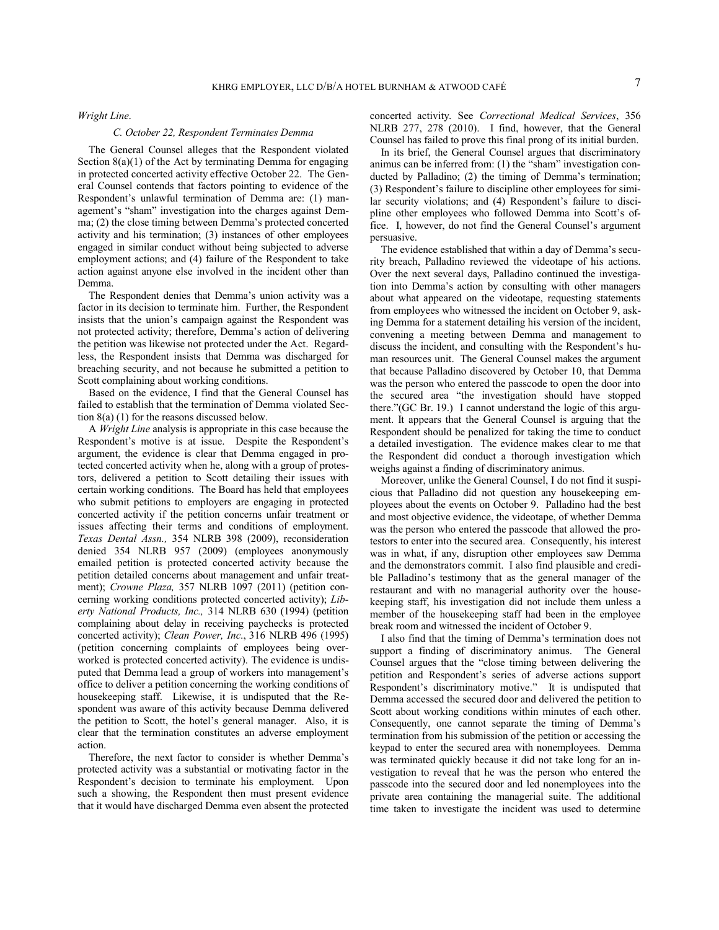*Wright Line*.

#### *C. October 22, Respondent Terminates Demma*

The General Counsel alleges that the Respondent violated Section  $8(a)(1)$  of the Act by terminating Demma for engaging in protected concerted activity effective October 22. The General Counsel contends that factors pointing to evidence of the Respondent's unlawful termination of Demma are: (1) management's "sham" investigation into the charges against Demma; (2) the close timing between Demma's protected concerted activity and his termination; (3) instances of other employees engaged in similar conduct without being subjected to adverse employment actions; and (4) failure of the Respondent to take action against anyone else involved in the incident other than Demma.

The Respondent denies that Demma's union activity was a factor in its decision to terminate him. Further, the Respondent insists that the union's campaign against the Respondent was not protected activity; therefore, Demma's action of delivering the petition was likewise not protected under the Act. Regardless, the Respondent insists that Demma was discharged for breaching security, and not because he submitted a petition to Scott complaining about working conditions.

Based on the evidence, I find that the General Counsel has failed to establish that the termination of Demma violated Section 8(a) (1) for the reasons discussed below.

A *Wright Line* analysis is appropriate in this case because the Respondent's motive is at issue. Despite the Respondent's argument, the evidence is clear that Demma engaged in protected concerted activity when he, along with a group of protestors, delivered a petition to Scott detailing their issues with certain working conditions. The Board has held that employees who submit petitions to employers are engaging in protected concerted activity if the petition concerns unfair treatment or issues affecting their terms and conditions of employment. *Texas Dental Assn.,* 354 NLRB 398 (2009), reconsideration denied 354 NLRB 957 (2009) (employees anonymously emailed petition is protected concerted activity because the petition detailed concerns about management and unfair treatment); *Crowne Plaza,* 357 NLRB 1097 (2011) (petition concerning working conditions protected concerted activity); *Liberty National Products, Inc.,* 314 NLRB 630 (1994) (petition complaining about delay in receiving paychecks is protected concerted activity); *Clean Power, Inc*., 316 NLRB 496 (1995) (petition concerning complaints of employees being overworked is protected concerted activity). The evidence is undisputed that Demma lead a group of workers into management's office to deliver a petition concerning the working conditions of housekeeping staff. Likewise, it is undisputed that the Respondent was aware of this activity because Demma delivered the petition to Scott, the hotel's general manager. Also, it is clear that the termination constitutes an adverse employment action.

Therefore, the next factor to consider is whether Demma's protected activity was a substantial or motivating factor in the Respondent's decision to terminate his employment. Upon such a showing, the Respondent then must present evidence that it would have discharged Demma even absent the protected

concerted activity. See *Correctional Medical Services*, 356 NLRB 277, 278 (2010). I find, however, that the General Counsel has failed to prove this final prong of its initial burden.

In its brief, the General Counsel argues that discriminatory animus can be inferred from: (1) the "sham" investigation conducted by Palladino; (2) the timing of Demma's termination; (3) Respondent's failure to discipline other employees for similar security violations; and (4) Respondent's failure to discipline other employees who followed Demma into Scott's office. I, however, do not find the General Counsel's argument persuasive.

The evidence established that within a day of Demma's security breach, Palladino reviewed the videotape of his actions. Over the next several days, Palladino continued the investigation into Demma's action by consulting with other managers about what appeared on the videotape, requesting statements from employees who witnessed the incident on October 9, asking Demma for a statement detailing his version of the incident, convening a meeting between Demma and management to discuss the incident, and consulting with the Respondent's human resources unit. The General Counsel makes the argument that because Palladino discovered by October 10, that Demma was the person who entered the passcode to open the door into the secured area "the investigation should have stopped there."(GC Br. 19.) I cannot understand the logic of this argument. It appears that the General Counsel is arguing that the Respondent should be penalized for taking the time to conduct a detailed investigation. The evidence makes clear to me that the Respondent did conduct a thorough investigation which weighs against a finding of discriminatory animus.

Moreover, unlike the General Counsel, I do not find it suspicious that Palladino did not question any housekeeping employees about the events on October 9. Palladino had the best and most objective evidence, the videotape, of whether Demma was the person who entered the passcode that allowed the protestors to enter into the secured area. Consequently, his interest was in what, if any, disruption other employees saw Demma and the demonstrators commit. I also find plausible and credible Palladino's testimony that as the general manager of the restaurant and with no managerial authority over the housekeeping staff, his investigation did not include them unless a member of the housekeeping staff had been in the employee break room and witnessed the incident of October 9.

I also find that the timing of Demma's termination does not support a finding of discriminatory animus. The General Counsel argues that the "close timing between delivering the petition and Respondent's series of adverse actions support Respondent's discriminatory motive." It is undisputed that Demma accessed the secured door and delivered the petition to Scott about working conditions within minutes of each other. Consequently, one cannot separate the timing of Demma's termination from his submission of the petition or accessing the keypad to enter the secured area with nonemployees. Demma was terminated quickly because it did not take long for an investigation to reveal that he was the person who entered the passcode into the secured door and led nonemployees into the private area containing the managerial suite. The additional time taken to investigate the incident was used to determine